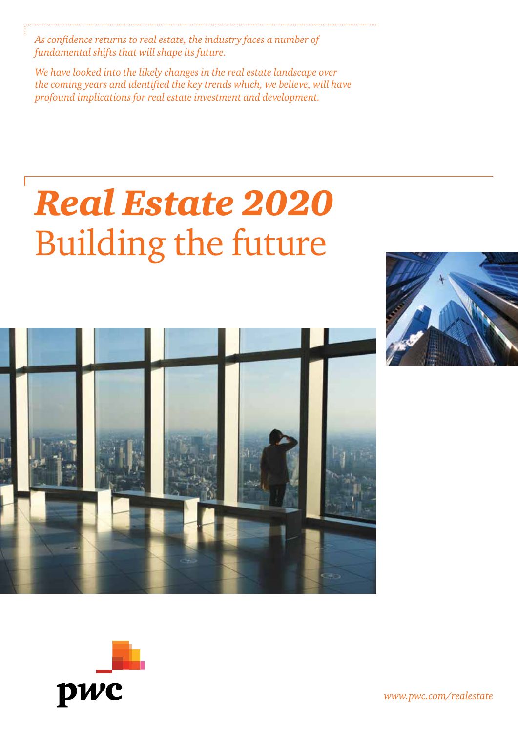*As confidence returns to real estate, the industry faces a number of fundamental shifts that will shape its future.*

*We have looked into the likely changes in the real estate landscape over the coming years and identified the key trends which, we believe, will have profound implications for real estate investment and development.*

# *Real Estate 2020* Building the future







*www.pwc.com/realestate*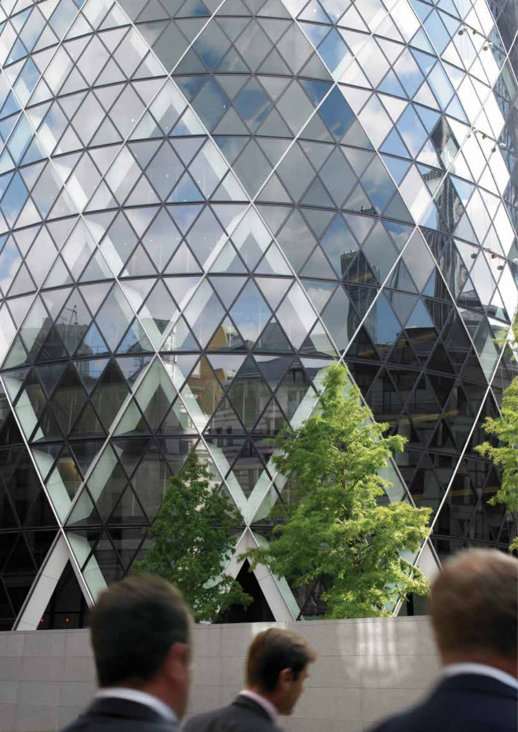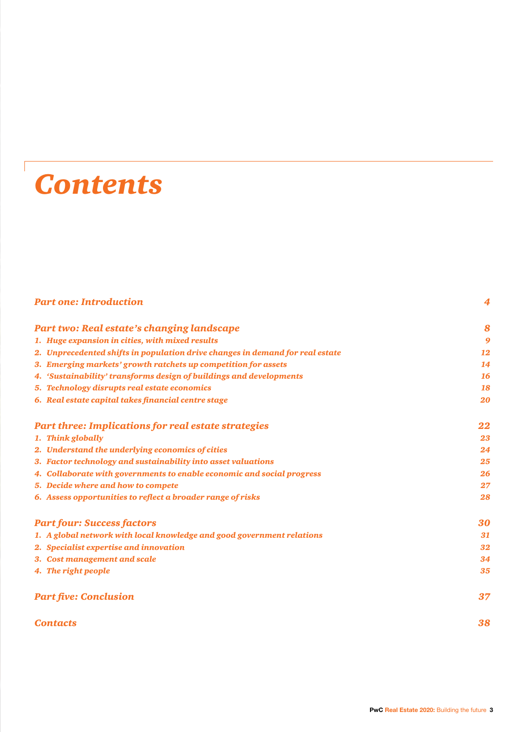# *Contents*

| <b>Part one: Introduction</b>                                                 | 4                |
|-------------------------------------------------------------------------------|------------------|
| <b>Part two: Real estate's changing landscape</b>                             | 8                |
| 1. Huge expansion in cities, with mixed results                               | $\boldsymbol{9}$ |
| 2. Unprecedented shifts in population drive changes in demand for real estate | 12               |
| 3. Emerging markets' growth ratchets up competition for assets                | 14               |
| 4. 'Sustainability' transforms design of buildings and developments           | 16               |
| 5. Technology disrupts real estate economics                                  | 18               |
| 6. Real estate capital takes financial centre stage                           | 20               |
| <b>Part three: Implications for real estate strategies</b>                    | 22               |
| 1. Think globally                                                             | 23               |
| 2. Understand the underlying economics of cities                              | 24               |
| 3. Factor technology and sustainability into asset valuations                 | 25               |
| 4. Collaborate with governments to enable economic and social progress        | 26               |
| 5. Decide where and how to compete                                            | 27               |
| 6. Assess opportunities to reflect a broader range of risks                   | 28               |
| <b>Part four: Success factors</b>                                             | 30               |
| 1. A global network with local knowledge and good government relations        | 31               |
| 2. Specialist expertise and innovation                                        | 32               |
| 3. Cost management and scale                                                  | 34               |
| 4. The right people                                                           | 35               |
| <b>Part five: Conclusion</b>                                                  | 37               |
| <b>Contacts</b>                                                               | 38               |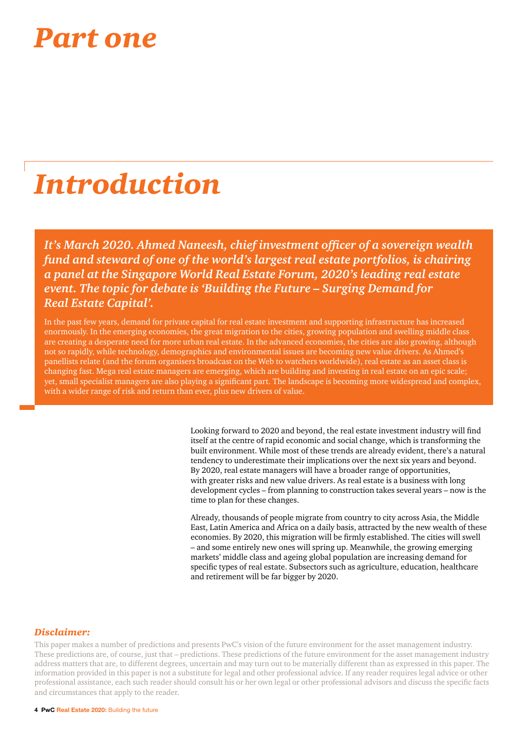## *Part one*

## *Introduction*

*It's March 2020. Ahmed Naneesh, chief investment officer of a sovereign wealth fund and steward of one of the world's largest real estate portfolios, is chairing a panel at the Singapore World Real Estate Forum, 2020's leading real estate event. The topic for debate is 'Building the Future – Surging Demand for Real Estate Capital'.* 

In the past few years, demand for private capital for real estate investment and supporting infrastructure has increased enormously. In the emerging economies, the great migration to the cities, growing population and swelling middle class are creating a desperate need for more urban real estate. In the advanced economies, the cities are also growing, although not so rapidly, while technology, demographics and environmental issues are becoming new value drivers. As Ahmed's panellists relate (and the forum organisers broadcast on the Web to watchers worldwide), real estate as an asset class is changing fast. Mega real estate managers are emerging, which are building and investing in real estate on an epic scale; yet, small specialist managers are also playing a significant part. The landscape is becoming more widespread and complex, with a wider range of risk and return than ever, plus new drivers of value.

> Looking forward to 2020 and beyond, the real estate investment industry will find itself at the centre of rapid economic and social change, which is transforming the built environment. While most of these trends are already evident, there's a natural tendency to underestimate their implications over the next six years and beyond. By 2020, real estate managers will have a broader range of opportunities, with greater risks and new value drivers. As real estate is a business with long development cycles – from planning to construction takes several years – now is the time to plan for these changes.

> Already, thousands of people migrate from country to city across Asia, the Middle East, Latin America and Africa on a daily basis, attracted by the new wealth of these economies. By 2020, this migration will be firmly established. The cities will swell – and some entirely new ones will spring up. Meanwhile, the growing emerging markets' middle class and ageing global population are increasing demand for specific types of real estate. Subsectors such as agriculture, education, healthcare and retirement will be far bigger by 2020.

## *Disclaimer:*

This paper makes a number of predictions and presents PwC's vision of the future environment for the asset management industry. These predictions are, of course, just that – predictions. These predictions of the future environment for the asset management industry address matters that are, to different degrees, uncertain and may turn out to be materially different than as expressed in this paper. The information provided in this paper is not a substitute for legal and other professional advice. If any reader requires legal advice or other professional assistance, each such reader should consult his or her own legal or other professional advisors and discuss the specific facts and circumstances that apply to the reader.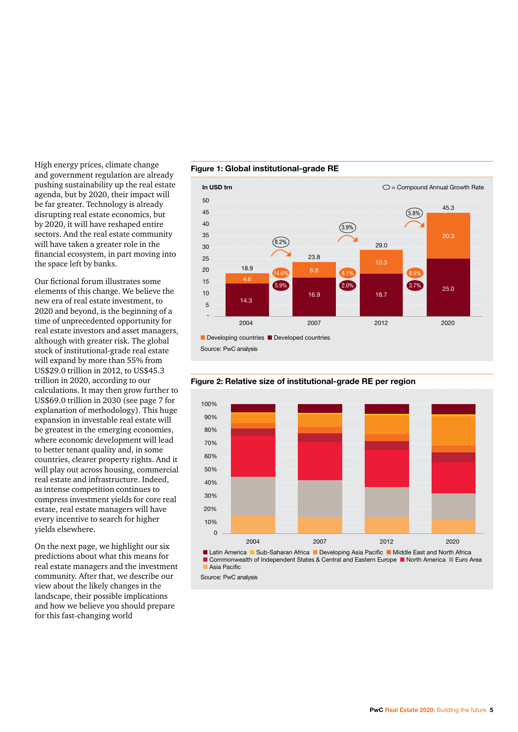High energy prices, climate change and government regulation are already pushing sustainability up the real estate agenda, but by 2020, their impact will be far greater. Technology is already disrupting real estate economics, but by 2020, it will have reshaped entire sectors. And the real estate community will have taken a greater role in the financial ecosystem, in part moving into the space left by banks.

Our fictional forum illustrates some elements of this change. We believe the new era of real estate investment, to 2020 and beyond, is the beginning of a time of unprecedented opportunity for real estate investors and asset managers, although with greater risk. The global stock of institutional-grade real estate will expand by more than 55% from US\$29.0 trillion in 2012, to US\$45.3 trillion in 2020, according to our calculations. It may then grow further to US\$69.0 trillion in 2030 (see page 7 for explanation of methodology). This huge expansion in investable real estate will be greatest in the emerging economies, where economic development will lead to better tenant quality and, in some countries, clearer property rights. And it will play out across housing, commercial real estate and infrastructure. Indeed, as intense competition continues to compress investment yields for core real estate, real estate managers will have every incentive to search for higher yields elsewhere.

On the next page, we highlight our six predictions about what this means for real estate managers and the investment community. After that, we describe our view about the likely changes in the landscape, their possible implications and how we believe you should prepare for this fast-changing world







**Figure 2: Relative size of institutional-grade RE per region** 

**n** Latin America **n** Sub-Saharan Africa **n** Developing Asia Pacific **n** Middle East and North Africa ■ Commonwealth of Independent States & Central and Eastern Europe ■ North America ■ Euro Area **Asia Pacific** 

Source: PwC analysis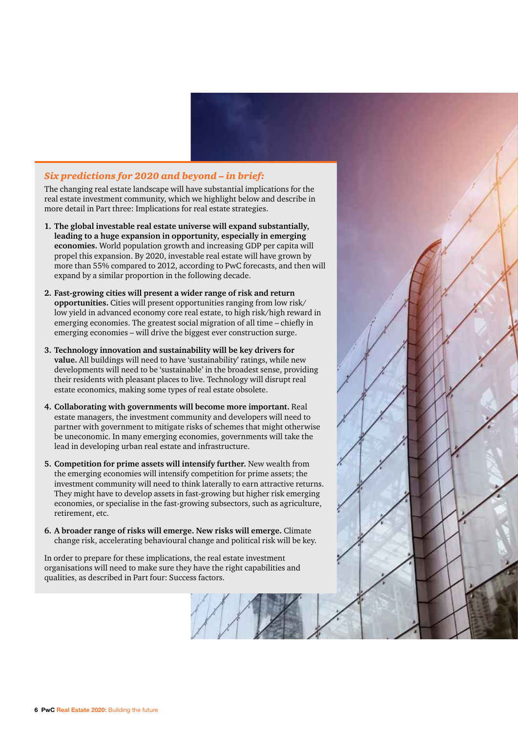

The changing real estate landscape will have substantial implications for the real estate investment community, which we highlight below and describe in more detail in Part three: Implications for real estate strategies.

- **1. The global investable real estate universe will expand substantially, leading to a huge expansion in opportunity, especially in emerging economies.** World population growth and increasing GDP per capita will propel this expansion. By 2020, investable real estate will have grown by more than 55% compared to 2012, according to PwC forecasts, and then will expand by a similar proportion in the following decade.
- **2. Fast-growing cities will present a wider range of risk and return opportunities.** Cities will present opportunities ranging from low risk/ low yield in advanced economy core real estate, to high risk/high reward in emerging economies. The greatest social migration of all time – chiefly in emerging economies – will drive the biggest ever construction surge.
- **3. Technology innovation and sustainability will be key drivers for value.** All buildings will need to have 'sustainability' ratings, while new developments will need to be 'sustainable' in the broadest sense, providing their residents with pleasant places to live. Technology will disrupt real estate economics, making some types of real estate obsolete.
- **4. Collaborating with governments will become more important.** Real estate managers, the investment community and developers will need to partner with government to mitigate risks of schemes that might otherwise be uneconomic. In many emerging economies, governments will take the lead in developing urban real estate and infrastructure.
- **5. Competition for prime assets will intensify further.** New wealth from the emerging economies will intensify competition for prime assets; the investment community will need to think laterally to earn attractive returns. They might have to develop assets in fast-growing but higher risk emerging economies, or specialise in the fast-growing subsectors, such as agriculture, retirement, etc.
- **6. A broader range of risks will emerge. New risks will emerge.** Climate change risk, accelerating behavioural change and political risk will be key.

In order to prepare for these implications, the real estate investment organisations will need to make sure they have the right capabilities and qualities, as described in Part four: Success factors.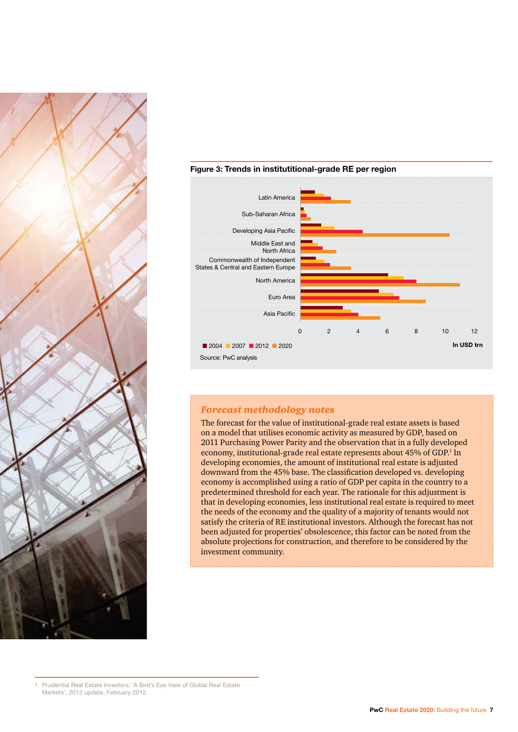





## *Forecast methodology notes*

The forecast for the value of institutional-grade real estate assets is based on a model that utilises economic activity as measured by GDP, based on 2011 Purchasing Power Parity and the observation that in a fully developed economy, institutional-grade real estate represents about 45% of GDP.<sup>1</sup> In developing economies, the amount of institutional real estate is adjusted downward from the 45% base. The classification developed vs. developing economy is accomplished using a ratio of GDP per capita in the country to a predetermined threshold for each year. The rationale for this adjustment is that in developing economies, less institutional real estate is required to meet the needs of the economy and the quality of a majority of tenants would not satisfy the criteria of RE institutional investors. Although the forecast has not been adjusted for properties' obsolescence, this factor can be noted from the absolute projections for construction, and therefore to be considered by the investment community.

<sup>1</sup> Prudential Real Estate Investors: 'A Bird's Eye View of Global Real Estate Markets', 2012 update, February 2012.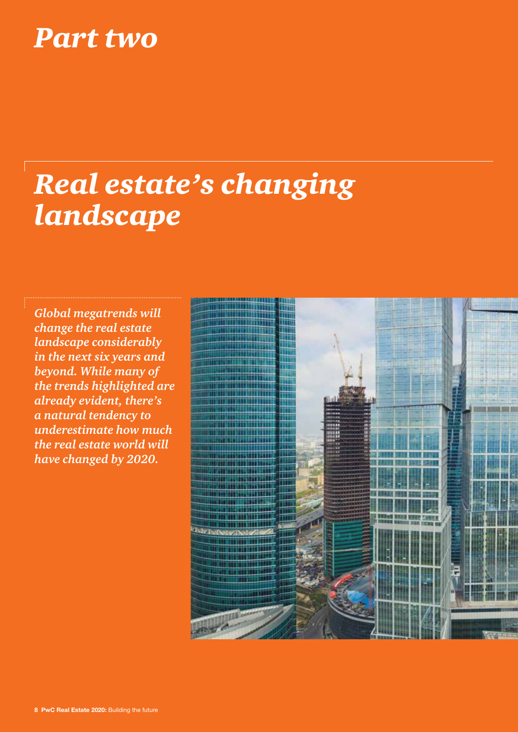## *Part two*

# *Real estate's changing landscape*

*Global megatrends will change the real estate landscape considerably in the next six years and beyond. While many of the trends highlighted are already evident, there's a natural tendency to underestimate how much the real estate world will have changed by 2020.*

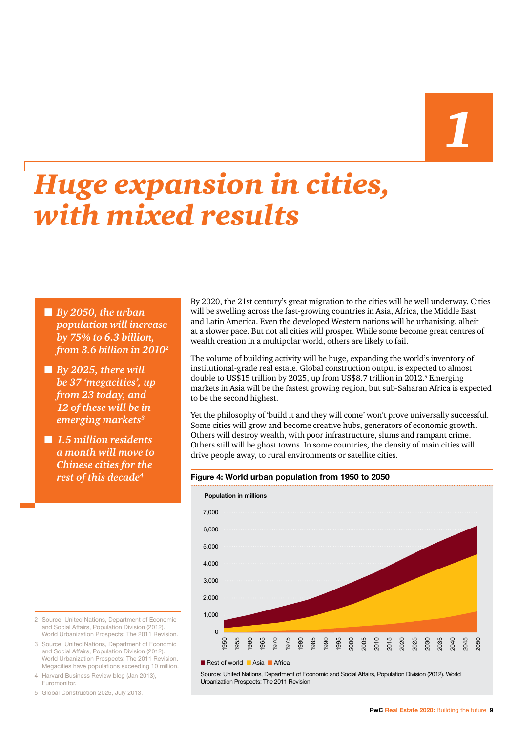## *Huge expansion in cities, with mixed results*

- *By 2050, the urban population will increase by 75% to 6.3 billion, from 3.6 billion in 20102*
- *By 2025, there will be 37 'megacities', up from 23 today, and 12 of these will be in emerging markets3*
- 1.5 million residents *a month will move to Chinese cities for the rest of this decade4*

By 2020, the 21st century's great migration to the cities will be well underway. Cities will be swelling across the fast-growing countries in Asia, Africa, the Middle East and Latin America. Even the developed Western nations will be urbanising, albeit at a slower pace. But not all cities will prosper. While some become great centres of wealth creation in a multipolar world, others are likely to fail.

The volume of building activity will be huge, expanding the world's inventory of institutional-grade real estate. Global construction output is expected to almost double to US\$15 trillion by 2025, up from US\$8.7 trillion in 2012.<sup>5</sup> Emerging markets in Asia will be the fastest growing region, but sub-Saharan Africa is expected to be the second highest.

Yet the philosophy of 'build it and they will come' won't prove universally successful. Some cities will grow and become creative hubs, generators of economic growth. Others will destroy wealth, with poor infrastructure, slums and rampant crime. Others still will be ghost towns. In some countries, the density of main cities will drive people away, to rural environments or satellite cities.

### **Figure 4: World urban population from 1950 to 2050**



- 2 Source: United Nations, Department of Economic and Social Affairs, Population Division (2012). World Urbanization Prospects: The 2011 Revision.
- 3 Source: United Nations, Department of Economic and Social Affairs, Population Division (2012). World Urbanization Prospects: The 2011 Revision. Megacities have populations exceeding 10 million.
- 4 Harvard Business Review blog (Jan 2013), Euromonitor.
- 5 Global Construction 2025, July 2013.

Source: United Nations, Department of Economic and Social Affairs, Population Division (2012). World Urbanization Prospects: The 2011 Revision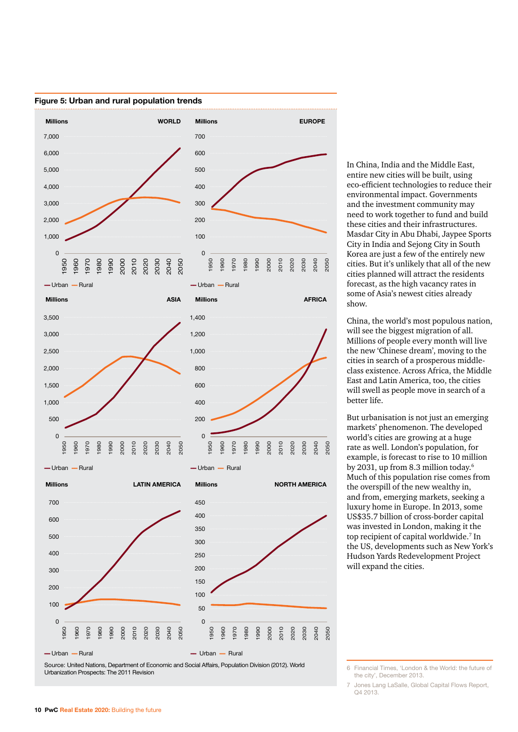

Source: United Nations, Department of Economic and Social Affairs, Population Division (2012). World Urbanization Prospects: The 2011 Revision

In China, India and the Middle East, entire new cities will be built, using eco-efficient technologies to reduce their environmental impact. Governments and the investment community may need to work together to fund and build these cities and their infrastructures. Masdar City in Abu Dhabi, Jaypee Sports City in India and Sejong City in South Korea are just a few of the entirely new cities. But it's unlikely that all of the new cities planned will attract the residents forecast, as the high vacancy rates in some of Asia's newest cities already show.

China, the world's most populous nation, will see the biggest migration of all. Millions of people every month will live the new 'Chinese dream', moving to the cities in search of a prosperous middleclass existence. Across Africa, the Middle East and Latin America, too, the cities will swell as people move in search of a better life.

But urbanisation is not just an emerging markets' phenomenon. The developed world's cities are growing at a huge rate as well. London's population, for example, is forecast to rise to 10 million by 2031, up from 8.3 million today.6 Much of this population rise comes from the overspill of the new wealthy in, and from, emerging markets, seeking a luxury home in Europe. In 2013, some US\$35.7 billion of cross-border capital was invested in London, making it the top recipient of capital worldwide.7 In the US, developments such as New York's Hudson Yards Redevelopment Project will expand the cities.

<sup>6</sup> Financial Times, 'London & the World: the future of the city', December 2013.

Jones Lang LaSalle, Global Capital Flows Report, Q4 2013.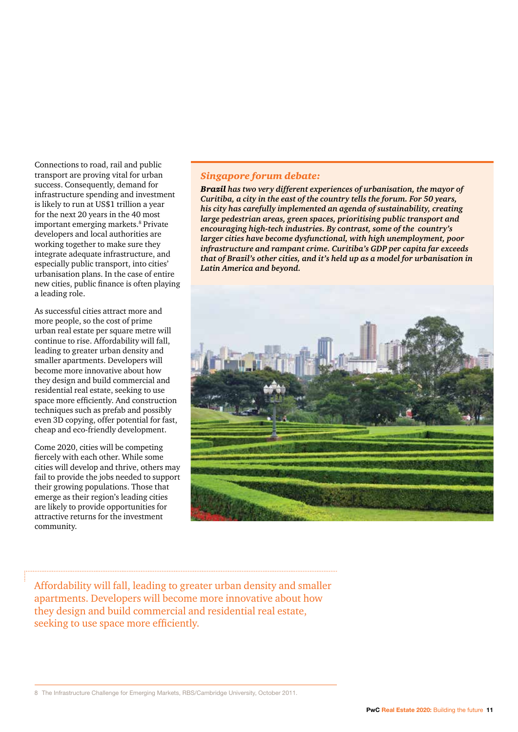Connections to road, rail and public transport are proving vital for urban success. Consequently, demand for infrastructure spending and investment is likely to run at US\$1 trillion a year for the next 20 years in the 40 most important emerging markets.8 Private developers and local authorities are working together to make sure they integrate adequate infrastructure, and especially public transport, into cities' urbanisation plans. In the case of entire new cities, public finance is often playing a leading role.

As successful cities attract more and more people, so the cost of prime urban real estate per square metre will continue to rise. Affordability will fall, leading to greater urban density and smaller apartments. Developers will become more innovative about how they design and build commercial and residential real estate, seeking to use space more efficiently. And construction techniques such as prefab and possibly even 3D copying, offer potential for fast, cheap and eco-friendly development.

Come 2020, cities will be competing fiercely with each other. While some cities will develop and thrive, others may fail to provide the jobs needed to support their growing populations. Those that emerge as their region's leading cities are likely to provide opportunities for attractive returns for the investment community.

## *Singapore forum debate:*

*Brazil has two very different experiences of urbanisation, the mayor of Curitiba, a city in the east of the country tells the forum. For 50 years, his city has carefully implemented an agenda of sustainability, creating large pedestrian areas, green spaces, prioritising public transport and encouraging high-tech industries. By contrast, some of the country's larger cities have become dysfunctional, with high unemployment, poor infrastructure and rampant crime. Curitiba's GDP per capita far exceeds that of Brazil's other cities, and it's held up as a model for urbanisation in Latin America and beyond.*



Affordability will fall, leading to greater urban density and smaller apartments. Developers will become more innovative about how they design and build commercial and residential real estate, seeking to use space more efficiently.

8 The Infrastructure Challenge for Emerging Markets, RBS/Cambridge University, October 2011.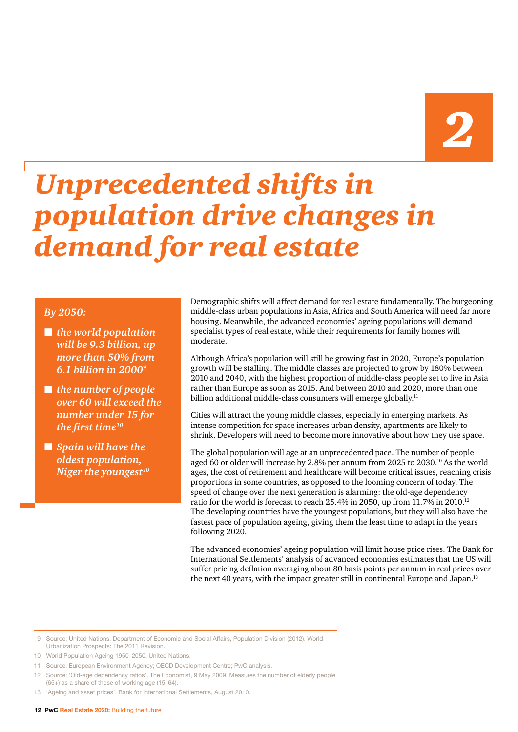## *Unprecedented shifts in population drive changes in demand for real estate*

## *By 2050:*

- *the world population will be 9.3 billion, up more than 50% from 6.1 billion in 20009*
- the number of people *over 60 will exceed the number under 15 for the first time10*
- **n** Spain will have the *oldest population, Niger the youngest10*

Demographic shifts will affect demand for real estate fundamentally. The burgeoning middle-class urban populations in Asia, Africa and South America will need far more housing. Meanwhile, the advanced economies' ageing populations will demand specialist types of real estate, while their requirements for family homes will moderate.

Although Africa's population will still be growing fast in 2020, Europe's population growth will be stalling. The middle classes are projected to grow by 180% between 2010 and 2040, with the highest proportion of middle-class people set to live in Asia rather than Europe as soon as 2015. And between 2010 and 2020, more than one billion additional middle-class consumers will emerge globally.<sup>11</sup>

Cities will attract the young middle classes, especially in emerging markets. As intense competition for space increases urban density, apartments are likely to shrink. Developers will need to become more innovative about how they use space.

The global population will age at an unprecedented pace. The number of people aged 60 or older will increase by 2.8% per annum from 2025 to 2030.<sup>10</sup> As the world ages, the cost of retirement and healthcare will become critical issues, reaching crisis proportions in some countries, as opposed to the looming concern of today. The speed of change over the next generation is alarming: the old-age dependency ratio for the world is forecast to reach 25.4% in 2050, up from 11.7% in 2010.12 The developing countries have the youngest populations, but they will also have the fastest pace of population ageing, giving them the least time to adapt in the years following 2020.

The advanced economies' ageing population will limit house price rises. The Bank for International Settlements' analysis of advanced economies estimates that the US will suffer pricing deflation averaging about 80 basis points per annum in real prices over the next 40 years, with the impact greater still in continental Europe and Japan.<sup>13</sup>

9 Source: United Nations, Department of Economic and Social Affairs, Population Division (2012). World Urbanization Prospects: The 2011 Revision.

10 World Population Ageing 1950–2050, United Nations.

13 'Ageing and asset prices', Bank for International Settlements, August 2010.

<sup>11</sup> Source: European Environment Agency; OECD Development Centre; PwC analysis.

<sup>12</sup> Source: 'Old-age dependency ratios', The Economist, 9 May 2009. Measures the number of elderly people (65+) as a share of those of working age (15–64).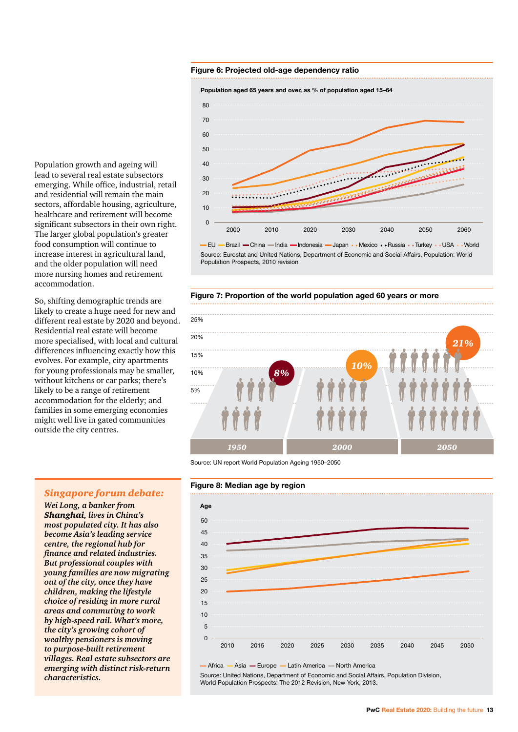### **Figure 6: Projected old-age dependency ratio**

Population growth and ageing will lead to several real estate subsectors emerging. While office, industrial, retail and residential will remain the main sectors, affordable housing, agriculture, healthcare and retirement will become significant subsectors in their own right. The larger global population's greater food consumption will continue to increase interest in agricultural land, and the older population will need more nursing homes and retirement accommodation.

So, shifting demographic trends are likely to create a huge need for new and different real estate by 2020 and beyond. Residential real estate will become more specialised, with local and cultural differences influencing exactly how this evolves. For example, city apartments for young professionals may be smaller, without kitchens or car parks; there's likely to be a range of retirement accommodation for the elderly; and families in some emerging economies might well live in gated communities outside the city centres.



Source: Eurostat and United Nations, Department of Economic and Social Affairs, Population: World Population Prospects, 2010 revision



Source: UN report World Population Ageing 1950–2050

### *Singapore forum debate:*

*Wei Long, a banker from Shanghai, lives in China's most populated city. It has also become Asia's leading service centre, the regional hub for finance and related industries. But professional couples with young families are now migrating out of the city, once they have children, making the lifestyle choice of residing in more rural areas and commuting to work by high-speed rail. What's more, the city's growing cohort of wealthy pensioners is moving to purpose-built retirement villages. Real estate subsectors are emerging with distinct risk-return characteristics.* 

## –– Africa –– Asia –– Europe –– Latin America –– North America 50 45 40 35 30  $25$ 20 15 10 5  $\Omega$ 2010 2015 2020 2025 2030 2035 2040 2045 2050 **Age**

Source: United Nations, Department of Economic and Social Affairs, Population Division, World Population Prospects: The 2012 Revision, New York, 2013.

## **Figure 8: Median age by region**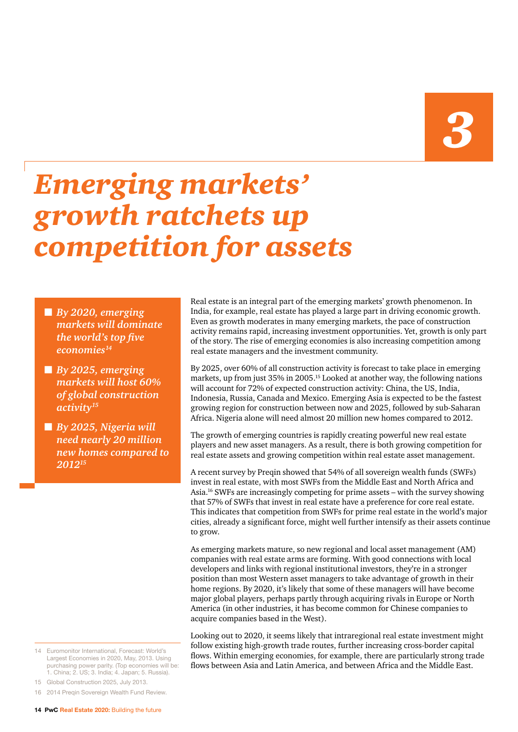# *Emerging markets' growth ratchets up competition for assets*

- *By 2020*, emerging *markets will dominate the world's top five economies14*
- *By 2025, emerging markets will host 60% of global construction activity15*
- *By 2025, Nigeria will need nearly 20 million new homes compared to 201215*

14 Euromonitor International, Forecast: World's Largest Economies in 2020, May, 2013. Using purchasing power parity. (Top economies will be: 1. China; 2. US; 3. India; 4. Japan; 5. Russia).

- 15 Global Construction 2025, July 2013.
- 16 2014 Pregin Sovereign Wealth Fund Review.

Real estate is an integral part of the emerging markets' growth phenomenon. In India, for example, real estate has played a large part in driving economic growth. Even as growth moderates in many emerging markets, the pace of construction activity remains rapid, increasing investment opportunities. Yet, growth is only part of the story. The rise of emerging economies is also increasing competition among real estate managers and the investment community.

By 2025, over 60% of all construction activity is forecast to take place in emerging markets, up from just 35% in 2005.15 Looked at another way, the following nations will account for 72% of expected construction activity: China, the US, India, Indonesia, Russia, Canada and Mexico. Emerging Asia is expected to be the fastest growing region for construction between now and 2025, followed by sub-Saharan Africa. Nigeria alone will need almost 20 million new homes compared to 2012.

The growth of emerging countries is rapidly creating powerful new real estate players and new asset managers. As a result, there is both growing competition for real estate assets and growing competition within real estate asset management.

A recent survey by Preqin showed that 54% of all sovereign wealth funds (SWFs) invest in real estate, with most SWFs from the Middle East and North Africa and Asia.16 SWFs are increasingly competing for prime assets – with the survey showing that 57% of SWFs that invest in real estate have a preference for core real estate. This indicates that competition from SWFs for prime real estate in the world's major cities, already a significant force, might well further intensify as their assets continue to grow.

As emerging markets mature, so new regional and local asset management (AM) companies with real estate arms are forming. With good connections with local developers and links with regional institutional investors, they're in a stronger position than most Western asset managers to take advantage of growth in their home regions. By 2020, it's likely that some of these managers will have become major global players, perhaps partly through acquiring rivals in Europe or North America (in other industries, it has become common for Chinese companies to acquire companies based in the West).

Looking out to 2020, it seems likely that intraregional real estate investment might follow existing high-growth trade routes, further increasing cross-border capital flows. Within emerging economies, for example, there are particularly strong trade flows between Asia and Latin America, and between Africa and the Middle East.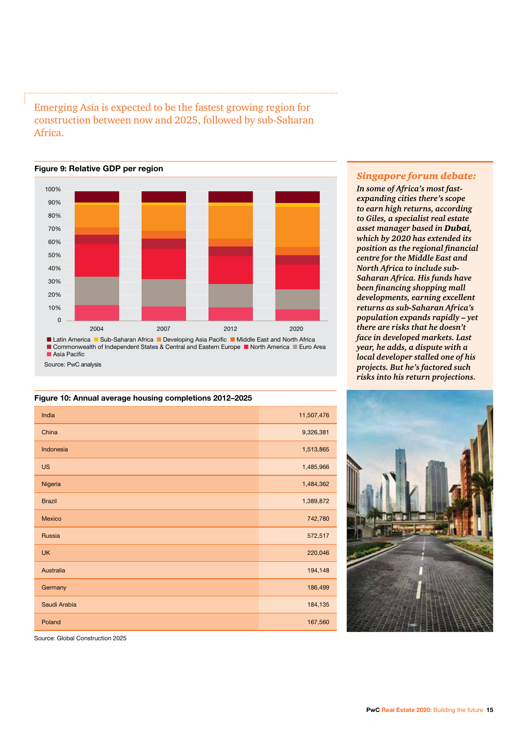## Emerging Asia is expected to be the fastest growing region for construction between now and 2025, followed by sub-Saharan Africa.



### **Figure 9: Relative GDP per region**

#### **Figure 10: Annual average housing completions 2012–2025**

| India         | 11,507,476 |
|---------------|------------|
| China         | 9,326,381  |
| Indonesia     | 1,513,865  |
| <b>US</b>     | 1,485,966  |
| Nigeria       | 1,484,362  |
| <b>Brazil</b> | 1,389,872  |
| <b>Mexico</b> | 742,780    |
| Russia        | 572,517    |
| <b>UK</b>     | 220,046    |
| Australia     | 194,148    |
| Germany       | 186,499    |
| Saudi Arabia  | 184,135    |
| Poland        | 167,560    |
|               |            |

Source: Global Construction 2025

## *Singapore forum debate:*

*In some of Africa's most fastexpanding cities there's scope to earn high returns, according to Giles, a specialist real estate asset manager based in Dubai, which by 2020 has extended its position as the regional financial centre for the Middle East and North Africa to include sub-Saharan Africa. His funds have been financing shopping mall developments, earning excellent returns as sub-Saharan Africa's population expands rapidly – yet there are risks that he doesn't face in developed markets. Last year, he adds, a dispute with a local developer stalled one of his projects. But he's factored such risks into his return projections.*

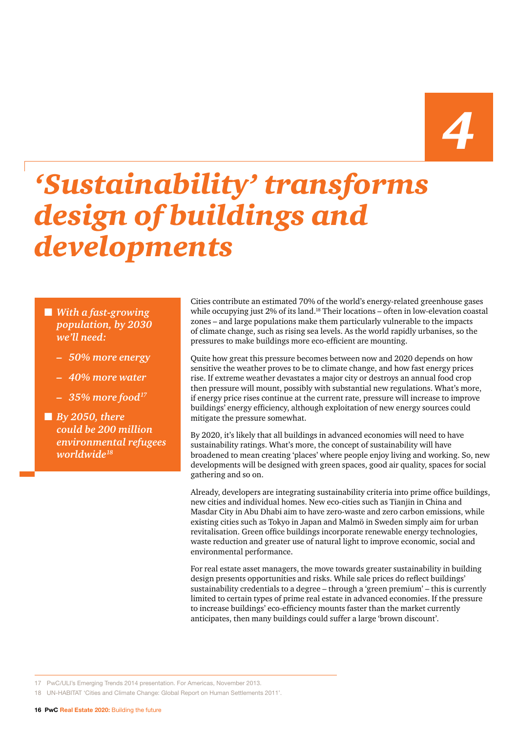# *'Sustainability' transforms design of buildings and developments*

- *With a fast-growing population, by 2030 we'll need:*
	- *– 50% more energy*
	- *– 40% more water*
	- *– 35% more food17*

■ *By 2050, there could be 200 million environmental refugees worldwide18*

Cities contribute an estimated 70% of the world's energy-related greenhouse gases while occupying just 2% of its land.<sup>18</sup> Their locations – often in low-elevation coastal zones – and large populations make them particularly vulnerable to the impacts of climate change, such as rising sea levels. As the world rapidly urbanises, so the pressures to make buildings more eco-efficient are mounting.

Quite how great this pressure becomes between now and 2020 depends on how sensitive the weather proves to be to climate change, and how fast energy prices rise. If extreme weather devastates a major city or destroys an annual food crop then pressure will mount, possibly with substantial new regulations. What's more, if energy price rises continue at the current rate, pressure will increase to improve buildings' energy efficiency, although exploitation of new energy sources could mitigate the pressure somewhat.

By 2020, it's likely that all buildings in advanced economies will need to have sustainability ratings. What's more, the concept of sustainability will have broadened to mean creating 'places' where people enjoy living and working. So, new developments will be designed with green spaces, good air quality, spaces for social gathering and so on.

Already, developers are integrating sustainability criteria into prime office buildings, new cities and individual homes. New eco-cities such as Tianjin in China and Masdar City in Abu Dhabi aim to have zero-waste and zero carbon emissions, while existing cities such as Tokyo in Japan and Malmö in Sweden simply aim for urban revitalisation. Green office buildings incorporate renewable energy technologies, waste reduction and greater use of natural light to improve economic, social and environmental performance.

For real estate asset managers, the move towards greater sustainability in building design presents opportunities and risks. While sale prices do reflect buildings' sustainability credentials to a degree – through a 'green premium' – this is currently limited to certain types of prime real estate in advanced economies. If the pressure to increase buildings' eco-efficiency mounts faster than the market currently anticipates, then many buildings could suffer a large 'brown discount'.

<sup>17</sup> PwC/ULI's Emerging Trends 2014 presentation. For Americas, November 2013.

<sup>18</sup> UN-HABITAT 'Cities and Climate Change: Global Report on Human Settlements 2011'.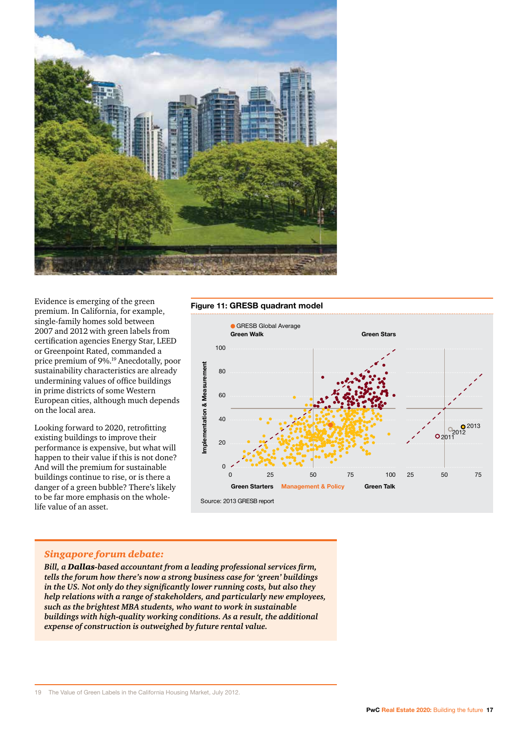

Evidence is emerging of the green premium. In California, for example, single-family homes sold between 2007 and 2012 with green labels from certification agencies Energy Star, LEED or Greenpoint Rated, commanded a price premium of 9%.19 Anecdotally, poor sustainability characteristics are already undermining values of office buildings in prime districts of some Western European cities, although much depends on the local area.

Looking forward to 2020, retrofitting existing buildings to improve their performance is expensive, but what will happen to their value if this is not done? And will the premium for sustainable buildings continue to rise, or is there a danger of a green bubble? There's likely to be far more emphasis on the wholelife value of an asset.

### **Figure 11: GRESB quadrant model**



## *Singapore forum debate:*

*Bill, a Dallas-based accountant from a leading professional services firm, tells the forum how there's now a strong business case for 'green' buildings in the US. Not only do they significantly lower running costs, but also they help relations with a range of stakeholders, and particularly new employees, such as the brightest MBA students, who want to work in sustainable buildings with high-quality working conditions. As a result, the additional expense of construction is outweighed by future rental value.*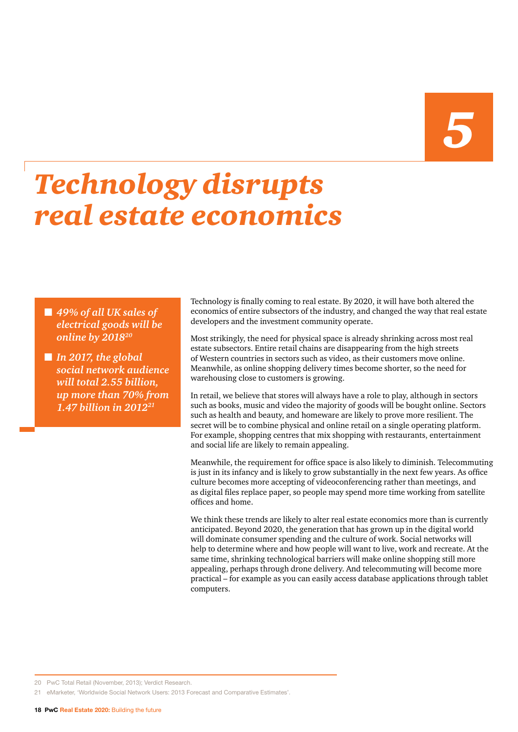## *Technology disrupts real estate economics*

■ 49% of all UK sales of *electrical goods will be online by 201820*

■ *In 2017, the global social network audience will total 2.55 billion, up more than 70% from 1.47 billion in 201221*

Technology is finally coming to real estate. By 2020, it will have both altered the economics of entire subsectors of the industry, and changed the way that real estate developers and the investment community operate.

Most strikingly, the need for physical space is already shrinking across most real estate subsectors. Entire retail chains are disappearing from the high streets of Western countries in sectors such as video, as their customers move online. Meanwhile, as online shopping delivery times become shorter, so the need for warehousing close to customers is growing.

In retail, we believe that stores will always have a role to play, although in sectors such as books, music and video the majority of goods will be bought online. Sectors such as health and beauty, and homeware are likely to prove more resilient. The secret will be to combine physical and online retail on a single operating platform. For example, shopping centres that mix shopping with restaurants, entertainment and social life are likely to remain appealing.

Meanwhile, the requirement for office space is also likely to diminish. Telecommuting is just in its infancy and is likely to grow substantially in the next few years. As office culture becomes more accepting of videoconferencing rather than meetings, and as digital files replace paper, so people may spend more time working from satellite offices and home.

We think these trends are likely to alter real estate economics more than is currently anticipated. Beyond 2020, the generation that has grown up in the digital world will dominate consumer spending and the culture of work. Social networks will help to determine where and how people will want to live, work and recreate. At the same time, shrinking technological barriers will make online shopping still more appealing, perhaps through drone delivery. And telecommuting will become more practical – for example as you can easily access database applications through tablet computers.

<sup>20</sup> PwC Total Retail (November, 2013); Verdict Research.

<sup>21</sup> eMarketer, 'Worldwide Social Network Users: 2013 Forecast and Comparative Estimates'.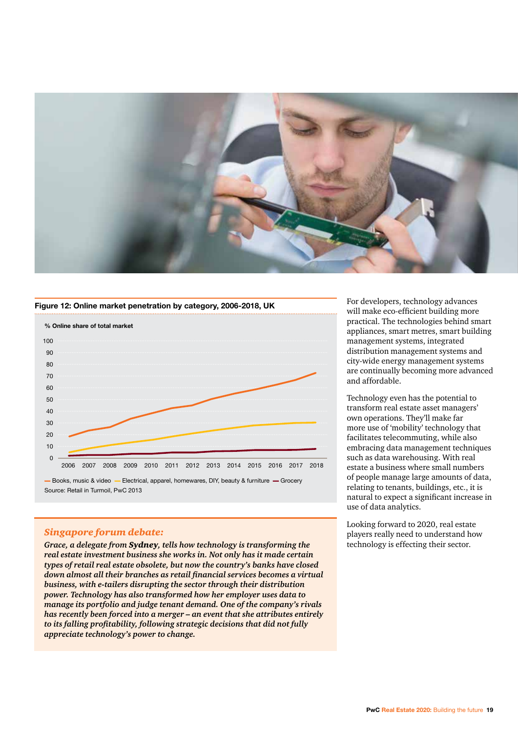

**Figure 12: Online market penetration by category, 2006-2018, UK**



## *Singapore forum debate:*

*Grace, a delegate from Sydney, tells how technology is transforming the real estate investment business she works in. Not only has it made certain types of retail real estate obsolete, but now the country's banks have closed down almost all their branches as retail financial services becomes a virtual business, with e-tailers disrupting the sector through their distribution power. Technology has also transformed how her employer uses data to manage its portfolio and judge tenant demand. One of the company's rivals has recently been forced into a merger – an event that she attributes entirely to its falling profitability, following strategic decisions that did not fully appreciate technology's power to change.*

For developers, technology advances will make eco-efficient building more practical. The technologies behind smart appliances, smart metres, smart building management systems, integrated distribution management systems and city-wide energy management systems are continually becoming more advanced and affordable.

Technology even has the potential to transform real estate asset managers' own operations. They'll make far more use of 'mobility' technology that facilitates telecommuting, while also embracing data management techniques such as data warehousing. With real estate a business where small numbers of people manage large amounts of data, relating to tenants, buildings, etc., it is natural to expect a significant increase in use of data analytics.

Looking forward to 2020, real estate players really need to understand how technology is effecting their sector.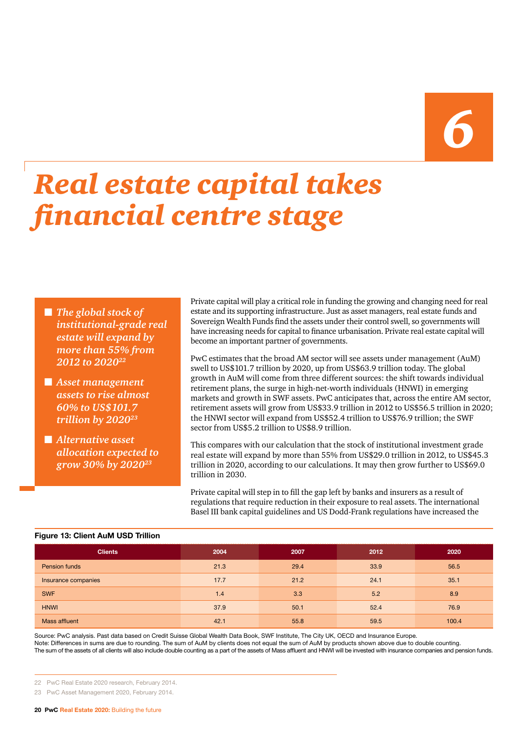# *Real estate capital takes financial centre stage*

- *The global stock of institutional-grade real estate will expand by more than 55% from 2012 to 202022*
- $\blacksquare$  Asset management *assets to rise almost 60% to US\$101.7 trillion by 202023*
- $\blacksquare$  Alternative asset *allocation expected to grow 30% by 202023*

Private capital will play a critical role in funding the growing and changing need for real estate and its supporting infrastructure. Just as asset managers, real estate funds and Sovereign Wealth Funds find the assets under their control swell, so governments will have increasing needs for capital to finance urbanisation. Private real estate capital will become an important partner of governments.

PwC estimates that the broad AM sector will see assets under management (AuM) swell to US\$101.7 trillion by 2020, up from US\$63.9 trillion today. The global growth in AuM will come from three different sources: the shift towards individual retirement plans, the surge in high-net-worth individuals (HNWI) in emerging markets and growth in SWF assets. PwC anticipates that, across the entire AM sector, retirement assets will grow from US\$33.9 trillion in 2012 to US\$56.5 trillion in 2020; the HNWI sector will expand from US\$52.4 trillion to US\$76.9 trillion; the SWF sector from US\$5.2 trillion to US\$8.9 trillion.

This compares with our calculation that the stock of institutional investment grade real estate will expand by more than 55% from US\$29.0 trillion in 2012, to US\$45.3 trillion in 2020, according to our calculations. It may then grow further to US\$69.0 trillion in 2030.

Private capital will step in to fill the gap left by banks and insurers as a result of regulations that require reduction in their exposure to real assets. The international Basel III bank capital guidelines and US Dodd-Frank regulations have increased the

| <b>I</b> iguit io. Offert Adivition Trillion |      |      |      |       |  |
|----------------------------------------------|------|------|------|-------|--|
| <b>Clients</b>                               | 2004 | 2007 | 2012 | 2020  |  |
| <b>Pension funds</b>                         | 21.3 | 29.4 | 33.9 | 56.5  |  |
| Insurance companies                          | 17.7 | 21.2 | 24.1 | 35.1  |  |
| <b>SWF</b>                                   | 1.4  | 3.3  | 5.2  | 8.9   |  |
| <b>HNWI</b>                                  | 37.9 | 50.1 | 52.4 | 76.9  |  |
| Mass affluent                                | 42.1 | 55.8 | 59.5 | 100.4 |  |

### **Figure 13: Client AuM USD Trillion**

Source: PwC analysis. Past data based on Credit Suisse Global Wealth Data Book, SWF Institute, The City UK, OECD and Insurance Europe. Note: Differences in sums are due to rounding. The sum of AuM by clients does not equal the sum of AuM by products shown above due to double counting.

The sum of the assets of all clients will also include double counting as a part of the assets of Mass affluent and HNWI will be invested with insurance companies and pension funds.

- 22 PwC Real Estate 2020 research, February 2014.
- 23 PwC Asset Management 2020, February 2014.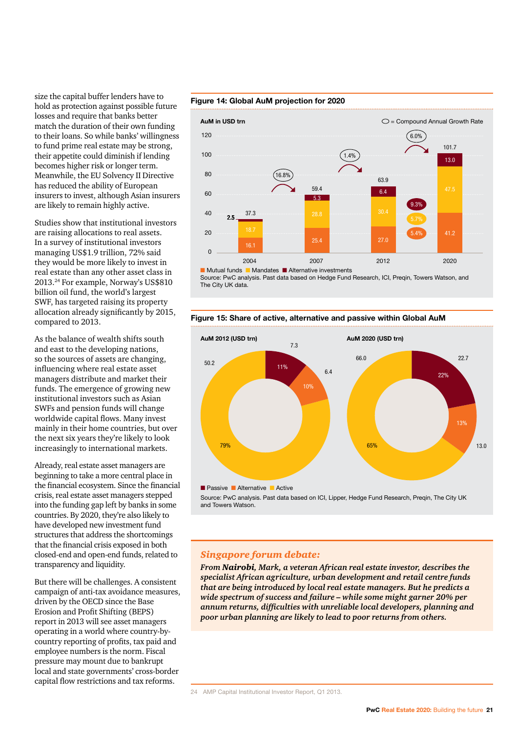size the capital buffer lenders have to hold as protection against possible future losses and require that banks better match the duration of their own funding to their loans. So while banks' willingness to fund prime real estate may be strong, their appetite could diminish if lending becomes higher risk or longer term. Meanwhile, the EU Solvency II Directive has reduced the ability of European insurers to invest, although Asian insurers are likely to remain highly active.

Studies show that institutional investors are raising allocations to real assets. In a survey of institutional investors managing US\$1.9 trillion, 72% said they would be more likely to invest in real estate than any other asset class in 2013.24 For example, Norway's US\$810 billion oil fund, the world's largest SWF, has targeted raising its property allocation already significantly by 2015, compared to 2013.

As the balance of wealth shifts south and east to the developing nations, so the sources of assets are changing, influencing where real estate asset managers distribute and market their funds. The emergence of growing new institutional investors such as Asian SWFs and pension funds will change worldwide capital flows. Many invest mainly in their home countries, but over the next six years they're likely to look increasingly to international markets.

Already, real estate asset managers are beginning to take a more central place in the financial ecosystem. Since the financial crisis, real estate asset managers stepped into the funding gap left by banks in some countries. By 2020, they're also likely to have developed new investment fund structures that address the shortcomings that the financial crisis exposed in both closed-end and open-end funds, related to transparency and liquidity.

But there will be challenges. A consistent campaign of anti-tax avoidance measures, driven by the OECD since the Base Erosion and Profit Shifting (BEPS) report in 2013 will see asset managers operating in a world where country-bycountry reporting of profits, tax paid and employee numbers is the norm. Fiscal pressure may mount due to bankrupt local and state governments' cross-border capital flow restrictions and tax reforms.

### **Figure 14: Global AuM projection for 2020**



Source: PwC analysis. Past data based on Hedge Fund Research, ICI, Preqin, Towers Watson, and The City UK data.

### **Figure 15: Share of active, alternative and passive within Global AuM**



Source: PwC analysis. Past data based on ICI, Lipper, Hedge Fund Research, Preqin, The City UK and Towers Watson.

### *Singapore forum debate:*

*From Nairobi, Mark, a veteran African real estate investor, describes the specialist African agriculture, urban development and retail centre funds that are being introduced by local real estate managers. But he predicts a wide spectrum of success and failure – while some might garner 20% per annum returns, difficulties with unreliable local developers, planning and poor urban planning are likely to lead to poor returns from others.*

<sup>24</sup> AMP Capital Institutional Investor Report, Q1 2013.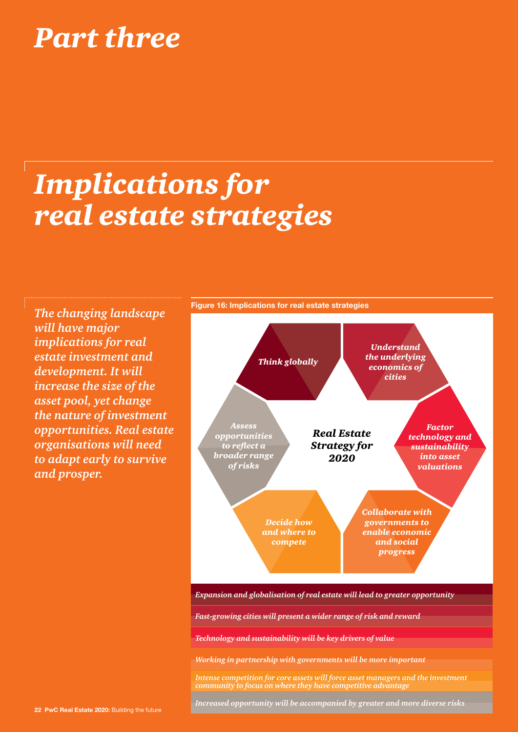## *Part three*

## *Implications for real estate strategies*

*The changing landscape will have major implications for real estate investment and development. It will increase the size of the asset pool, yet change the nature of investment opportunities. Real estate organisations will need to adapt early to survive and prosper.*



*Fast-growing cities will present a wider range of risk and reward*

*Technology and sustainability will be key drivers of value*

*Working in partnership with governments will be more important*

*Intense competition for core assets will force asset managers and the investment community to focus on where they have competitive advantage*

**22 PwC Real Estate 2020:** Building the future

*Increased opportunity will be accompanied by greater and more diverse risks*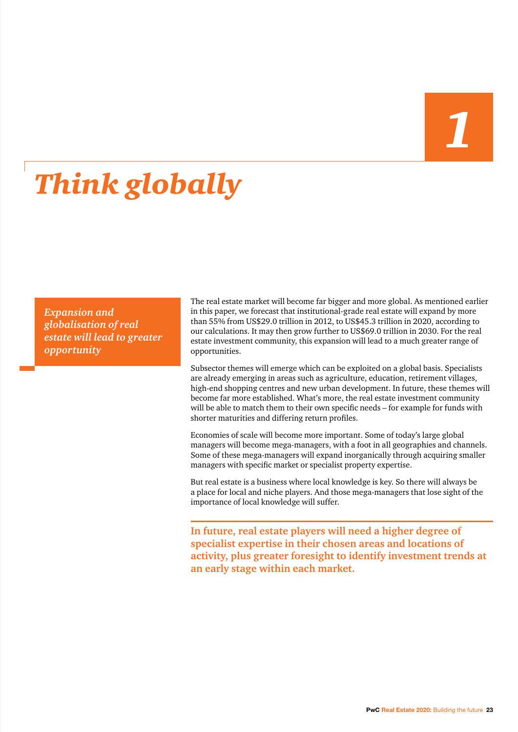# *Think globally*

*Expansion and globalisation of real estate will lead to greater opportunity*

The real estate market will become far bigger and more global. As mentioned earlier in this paper, we forecast that institutional-grade real estate will expand by more than 55% from US\$29.0 trillion in 2012, to US\$45.3 trillion in 2020, according to our calculations. It may then grow further to US\$69.0 trillion in 2030. For the real estate investment community, this expansion will lead to a much greater range of opportunities.

Subsector themes will emerge which can be exploited on a global basis. Specialists are already emerging in areas such as agriculture, education, retirement villages, high-end shopping centres and new urban development. In future, these themes will become far more established. What's more, the real estate investment community will be able to match them to their own specific needs – for example for funds with shorter maturities and differing return profiles.

Economies of scale will become more important. Some of today's large global managers will become mega-managers, with a foot in all geographies and channels. Some of these mega-managers will expand inorganically through acquiring smaller managers with specific market or specialist property expertise.

But real estate is a business where local knowledge is key. So there will always be a place for local and niche players. And those mega-managers that lose sight of the importance of local knowledge will suffer.

**In future, real estate players will need a higher degree of specialist expertise in their chosen areas and locations of activity, plus greater foresight to identify investment trends at an early stage within each market.**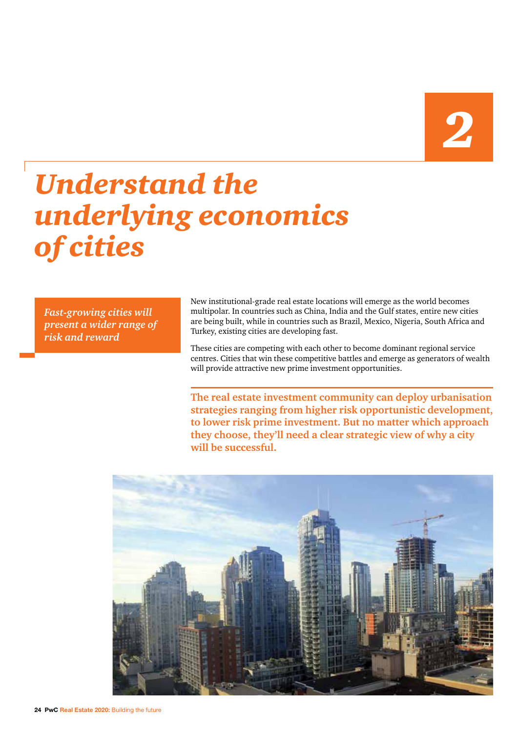# *Understand the underlying economics of cities*

*Fast-growing cities will present a wider range of risk and reward*

New institutional-grade real estate locations will emerge as the world becomes multipolar. In countries such as China, India and the Gulf states, entire new cities are being built, while in countries such as Brazil, Mexico, Nigeria, South Africa and Turkey, existing cities are developing fast.

These cities are competing with each other to become dominant regional service centres. Cities that win these competitive battles and emerge as generators of wealth will provide attractive new prime investment opportunities.

**The real estate investment community can deploy urbanisation strategies ranging from higher risk opportunistic development, to lower risk prime investment. But no matter which approach they choose, they'll need a clear strategic view of why a city will be successful.**

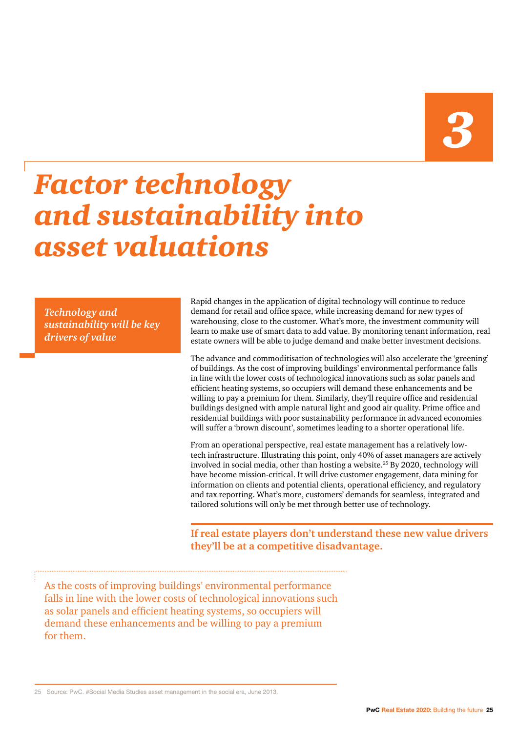# *Factor technology and sustainability into asset valuations*

*Technology and sustainability will be key drivers of value*

Rapid changes in the application of digital technology will continue to reduce demand for retail and office space, while increasing demand for new types of warehousing, close to the customer. What's more, the investment community will learn to make use of smart data to add value. By monitoring tenant information, real estate owners will be able to judge demand and make better investment decisions.

The advance and commoditisation of technologies will also accelerate the 'greening' of buildings. As the cost of improving buildings' environmental performance falls in line with the lower costs of technological innovations such as solar panels and efficient heating systems, so occupiers will demand these enhancements and be willing to pay a premium for them. Similarly, they'll require office and residential buildings designed with ample natural light and good air quality. Prime office and residential buildings with poor sustainability performance in advanced economies will suffer a 'brown discount', sometimes leading to a shorter operational life.

From an operational perspective, real estate management has a relatively lowtech infrastructure. Illustrating this point, only 40% of asset managers are actively involved in social media, other than hosting a website.25 By 2020, technology will have become mission-critical. It will drive customer engagement, data mining for information on clients and potential clients, operational efficiency, and regulatory and tax reporting. What's more, customers' demands for seamless, integrated and tailored solutions will only be met through better use of technology.

**If real estate players don't understand these new value drivers they'll be at a competitive disadvantage.**

As the costs of improving buildings' environmental performance falls in line with the lower costs of technological innovations such as solar panels and efficient heating systems, so occupiers will demand these enhancements and be willing to pay a premium for them.

25 Source: PwC. #Social Media Studies asset management in the social era, June 2013.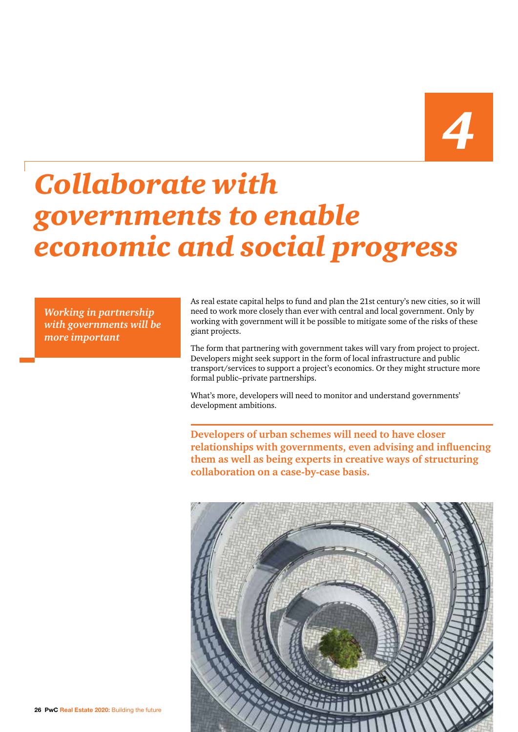# *Collaborate with governments to enable economic and social progress*

*Working in partnership with governments will be more important*

As real estate capital helps to fund and plan the 21st century's new cities, so it will need to work more closely than ever with central and local government. Only by working with government will it be possible to mitigate some of the risks of these giant projects.

The form that partnering with government takes will vary from project to project. Developers might seek support in the form of local infrastructure and public transport/services to support a project's economics. Or they might structure more formal public–private partnerships.

What's more, developers will need to monitor and understand governments' development ambitions.

**Developers of urban schemes will need to have closer relationships with governments, even advising and influencing them as well as being experts in creative ways of structuring collaboration on a case-by-case basis.**

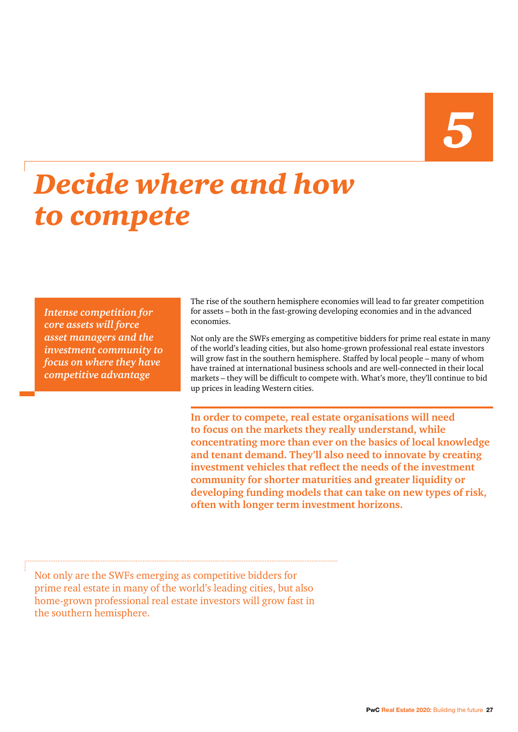# *Decide where and how to compete*

*Intense competition for core assets will force asset managers and the investment community to focus on where they have competitive advantage*

The rise of the southern hemisphere economies will lead to far greater competition for assets – both in the fast-growing developing economies and in the advanced economies.

Not only are the SWFs emerging as competitive bidders for prime real estate in many of the world's leading cities, but also home-grown professional real estate investors will grow fast in the southern hemisphere. Staffed by local people – many of whom have trained at international business schools and are well-connected in their local markets – they will be difficult to compete with. What's more, they'll continue to bid up prices in leading Western cities.

**In order to compete, real estate organisations will need to focus on the markets they really understand, while concentrating more than ever on the basics of local knowledge and tenant demand. They'll also need to innovate by creating investment vehicles that reflect the needs of the investment community for shorter maturities and greater liquidity or developing funding models that can take on new types of risk, often with longer term investment horizons.**

Not only are the SWFs emerging as competitive bidders for prime real estate in many of the world's leading cities, but also home-grown professional real estate investors will grow fast in the southern hemisphere.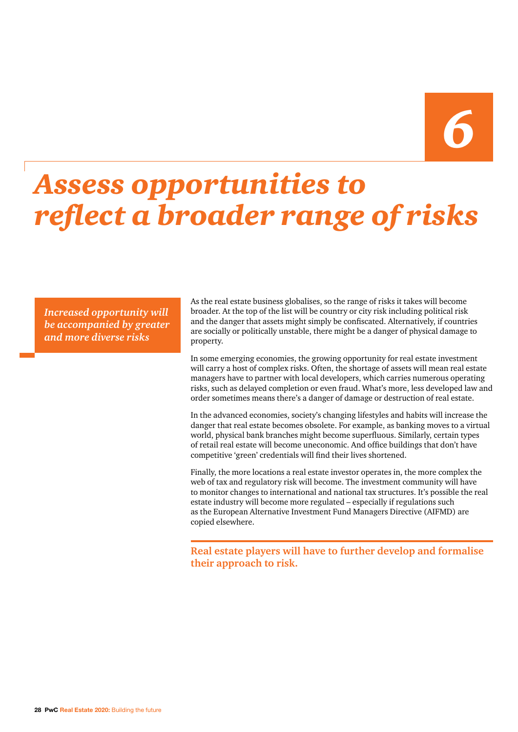# *Assess opportunities to reflect a broader range of risks*

*Increased opportunity will be accompanied by greater and more diverse risks*

As the real estate business globalises, so the range of risks it takes will become broader. At the top of the list will be country or city risk including political risk and the danger that assets might simply be confiscated. Alternatively, if countries are socially or politically unstable, there might be a danger of physical damage to property.

In some emerging economies, the growing opportunity for real estate investment will carry a host of complex risks. Often, the shortage of assets will mean real estate managers have to partner with local developers, which carries numerous operating risks, such as delayed completion or even fraud. What's more, less developed law and order sometimes means there's a danger of damage or destruction of real estate.

In the advanced economies, society's changing lifestyles and habits will increase the danger that real estate becomes obsolete. For example, as banking moves to a virtual world, physical bank branches might become superfluous. Similarly, certain types of retail real estate will become uneconomic. And office buildings that don't have competitive 'green' credentials will find their lives shortened.

Finally, the more locations a real estate investor operates in, the more complex the web of tax and regulatory risk will become. The investment community will have to monitor changes to international and national tax structures. It's possible the real estate industry will become more regulated – especially if regulations such as the European Alternative Investment Fund Managers Directive (AIFMD) are copied elsewhere.

**Real estate players will have to further develop and formalise their approach to risk.**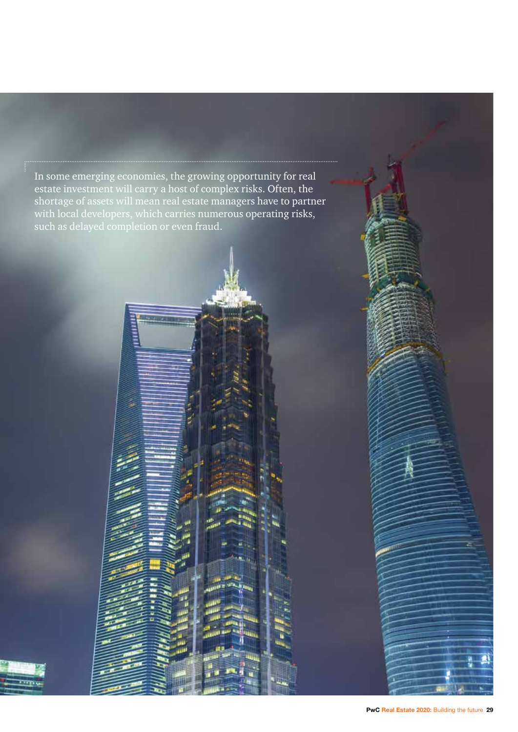In some emerging economies, the growing opportunity for real estate investment will carry a host of complex risks. Often, the shortage of assets will mean real estate managers have to partner with local developers, which carries numerous operating risks, such as delayed completion or even fraud.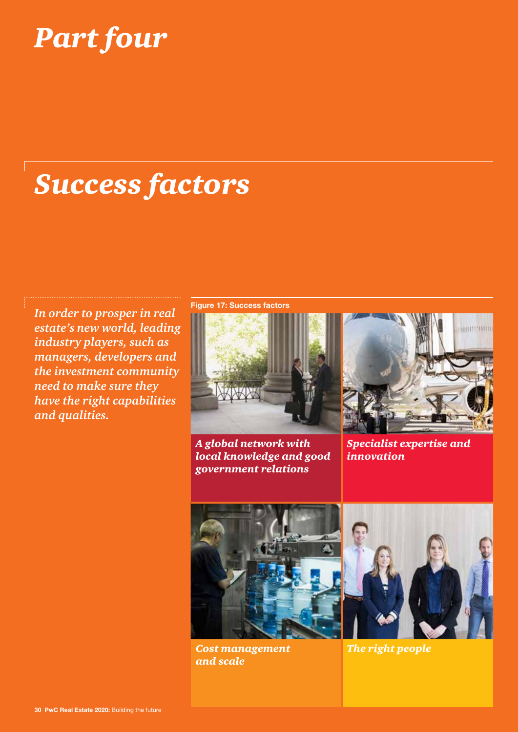## *Part four*

## *Success factors*

*In order to prosper in real estate's new world, leading industry players, such as managers, developers and the investment community need to make sure they have the right capabilities and qualities.*

### **Figure 17: Success factors**



*A global network with local knowledge and good government relations*



*Specialist expertise and innovation*



*Cost management and scale*



*The right people*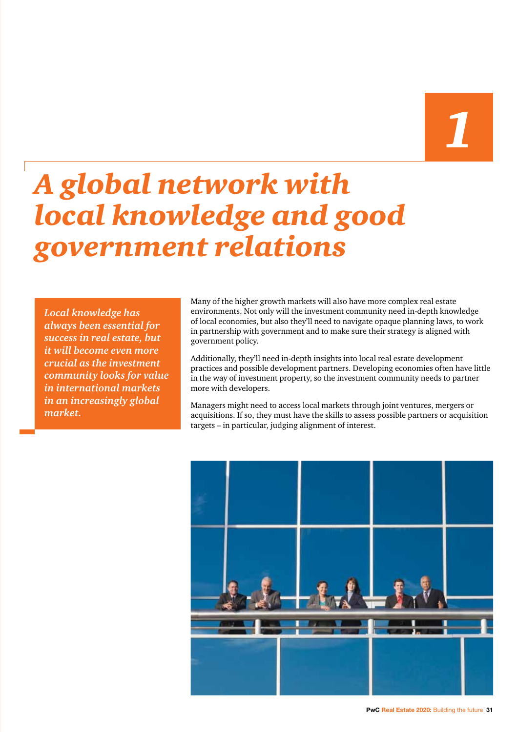# *A global network with local knowledge and good government relations*

*Local knowledge has always been essential for success in real estate, but it will become even more crucial as the investment community looks for value in international markets in an increasingly global market.* 

Many of the higher growth markets will also have more complex real estate environments. Not only will the investment community need in-depth knowledge of local economies, but also they'll need to navigate opaque planning laws, to work in partnership with government and to make sure their strategy is aligned with government policy.

Additionally, they'll need in-depth insights into local real estate development practices and possible development partners. Developing economies often have little in the way of investment property, so the investment community needs to partner more with developers.

Managers might need to access local markets through joint ventures, mergers or acquisitions. If so, they must have the skills to assess possible partners or acquisition targets – in particular, judging alignment of interest.

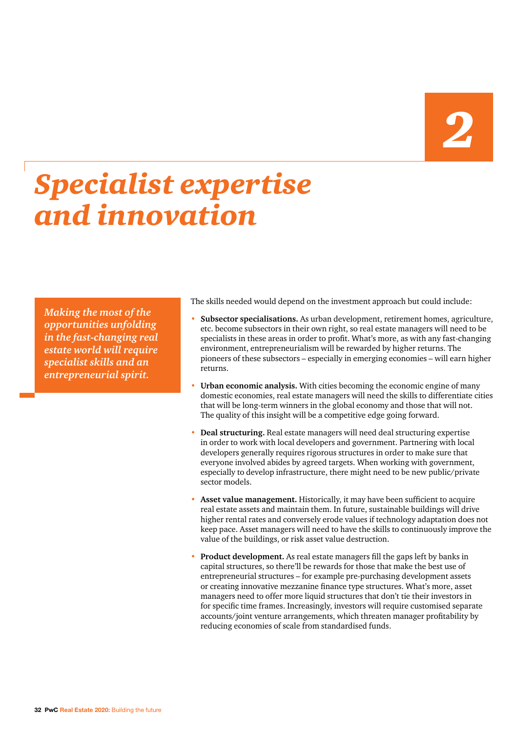# *Specialist expertise and innovation*

*Making the most of the opportunities unfolding in the fast-changing real estate world will require specialist skills and an entrepreneurial spirit.*

The skills needed would depend on the investment approach but could include:

- **Subsector specialisations.** As urban development, retirement homes, agriculture, etc. become subsectors in their own right, so real estate managers will need to be specialists in these areas in order to profit. What's more, as with any fast-changing environment, entrepreneurialism will be rewarded by higher returns. The pioneers of these subsectors – especially in emerging economies – will earn higher returns.
- **Urban economic analysis.** With cities becoming the economic engine of many domestic economies, real estate managers will need the skills to differentiate cities that will be long-term winners in the global economy and those that will not. The quality of this insight will be a competitive edge going forward.
- **Deal structuring.** Real estate managers will need deal structuring expertise in order to work with local developers and government. Partnering with local developers generally requires rigorous structures in order to make sure that everyone involved abides by agreed targets. When working with government, especially to develop infrastructure, there might need to be new public/private sector models.
- **Asset value management.** Historically, it may have been sufficient to acquire real estate assets and maintain them. In future, sustainable buildings will drive higher rental rates and conversely erode values if technology adaptation does not keep pace. Asset managers will need to have the skills to continuously improve the value of the buildings, or risk asset value destruction.
- **Product development.** As real estate managers fill the gaps left by banks in capital structures, so there'll be rewards for those that make the best use of entrepreneurial structures – for example pre-purchasing development assets or creating innovative mezzanine finance type structures. What's more, asset managers need to offer more liquid structures that don't tie their investors in for specific time frames. Increasingly, investors will require customised separate accounts/joint venture arrangements, which threaten manager profitability by reducing economies of scale from standardised funds.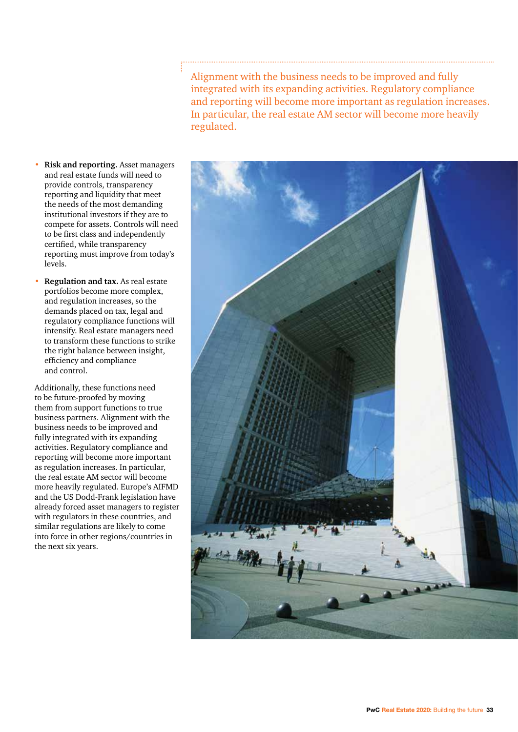Alignment with the business needs to be improved and fully integrated with its expanding activities. Regulatory compliance and reporting will become more important as regulation increases. In particular, the real estate AM sector will become more heavily regulated.

- 
- **Risk and reporting.** Asset managers and real estate funds will need to provide controls, transparency reporting and liquidity that meet the needs of the most demanding institutional investors if they are to compete for assets. Controls will need to be first class and independently certified, while transparency reporting must improve from today's levels.
- **Regulation and tax.** As real estate portfolios become more complex, and regulation increases, so the demands placed on tax, legal and regulatory compliance functions will intensify. Real estate managers need to transform these functions to strike the right balance between insight, efficiency and compliance and control.

Additionally, these functions need to be future-proofed by moving them from support functions to true business partners. Alignment with the business needs to be improved and fully integrated with its expanding activities. Regulatory compliance and reporting will become more important as regulation increases. In particular, the real estate AM sector will become more heavily regulated. Europe's AIFMD and the US Dodd-Frank legislation have already forced asset managers to register with regulators in these countries, and similar regulations are likely to come into force in other regions/countries in the next six years.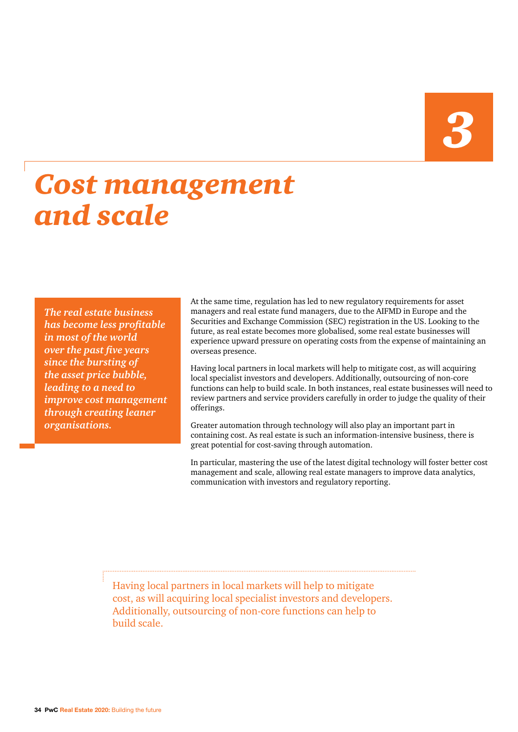## *Cost management and scale*

*The real estate business has become less profitable in most of the world over the past five years since the bursting of the asset price bubble, leading to a need to improve cost management through creating leaner organisations.* 

At the same time, regulation has led to new regulatory requirements for asset managers and real estate fund managers, due to the AIFMD in Europe and the Securities and Exchange Commission (SEC) registration in the US. Looking to the future, as real estate becomes more globalised, some real estate businesses will experience upward pressure on operating costs from the expense of maintaining an overseas presence.

Having local partners in local markets will help to mitigate cost, as will acquiring local specialist investors and developers. Additionally, outsourcing of non-core functions can help to build scale. In both instances, real estate businesses will need to review partners and service providers carefully in order to judge the quality of their offerings.

Greater automation through technology will also play an important part in containing cost. As real estate is such an information-intensive business, there is great potential for cost-saving through automation.

In particular, mastering the use of the latest digital technology will foster better cost management and scale, allowing real estate managers to improve data analytics, communication with investors and regulatory reporting.

Having local partners in local markets will help to mitigate cost, as will acquiring local specialist investors and developers. Additionally, outsourcing of non-core functions can help to build scale.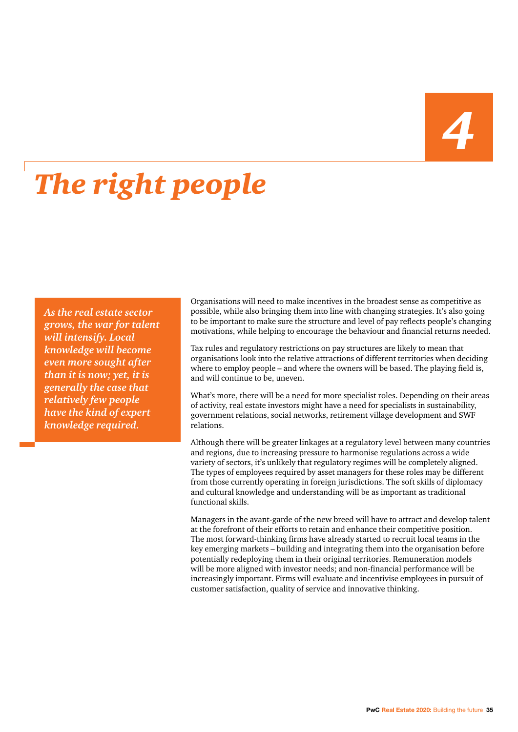# *The right people*

*As the real estate sector grows, the war for talent will intensify. Local knowledge will become even more sought after than it is now; yet, it is generally the case that relatively few people have the kind of expert knowledge required.*

Organisations will need to make incentives in the broadest sense as competitive as possible, while also bringing them into line with changing strategies. It's also going to be important to make sure the structure and level of pay reflects people's changing motivations, while helping to encourage the behaviour and financial returns needed.

Tax rules and regulatory restrictions on pay structures are likely to mean that organisations look into the relative attractions of different territories when deciding where to employ people – and where the owners will be based. The playing field is, and will continue to be, uneven.

What's more, there will be a need for more specialist roles. Depending on their areas of activity, real estate investors might have a need for specialists in sustainability, government relations, social networks, retirement village development and SWF relations.

Although there will be greater linkages at a regulatory level between many countries and regions, due to increasing pressure to harmonise regulations across a wide variety of sectors, it's unlikely that regulatory regimes will be completely aligned. The types of employees required by asset managers for these roles may be different from those currently operating in foreign jurisdictions. The soft skills of diplomacy and cultural knowledge and understanding will be as important as traditional functional skills.

Managers in the avant-garde of the new breed will have to attract and develop talent at the forefront of their efforts to retain and enhance their competitive position. The most forward-thinking firms have already started to recruit local teams in the key emerging markets – building and integrating them into the organisation before potentially redeploying them in their original territories. Remuneration models will be more aligned with investor needs; and non-financial performance will be increasingly important. Firms will evaluate and incentivise employees in pursuit of customer satisfaction, quality of service and innovative thinking.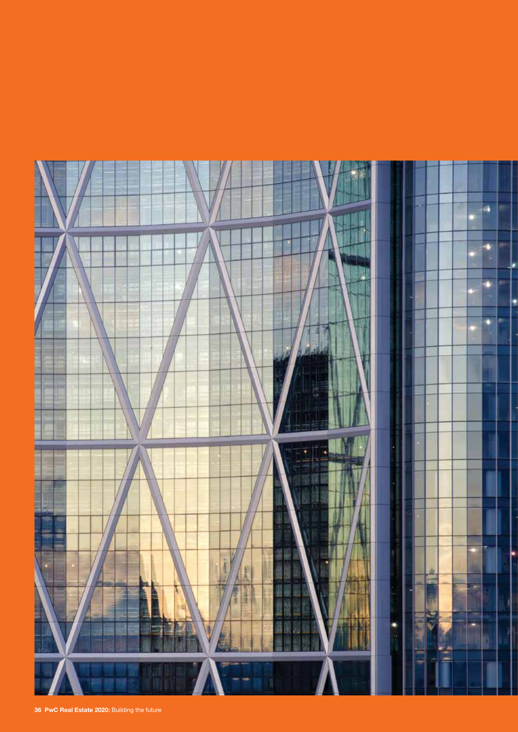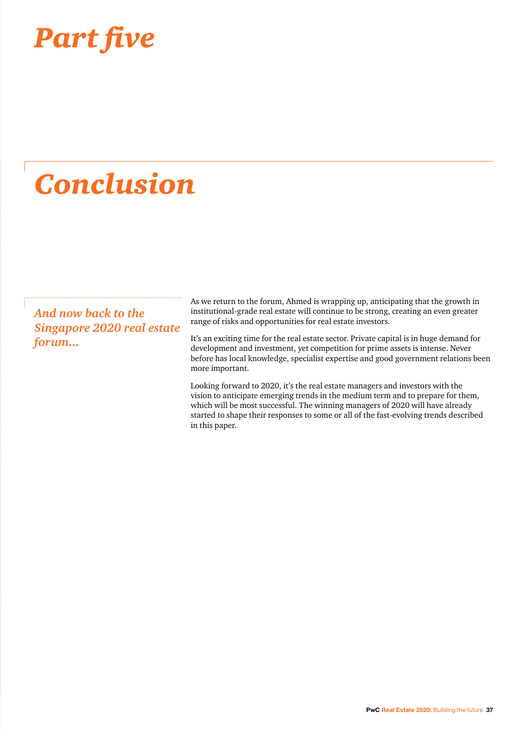## *Part five*

# *Conclusion*

*And now back to the Singapore 2020 real estate forum...*

As we return to the forum, Ahmed is wrapping up, anticipating that the growth in institutional-grade real estate will continue to be strong, creating an even greater range of risks and opportunities for real estate investors.

It's an exciting time for the real estate sector. Private capital is in huge demand for development and investment, yet competition for prime assets is intense. Never before has local knowledge, specialist expertise and good government relations been more important.

Looking forward to 2020, it's the real estate managers and investors with the vision to anticipate emerging trends in the medium term and to prepare for them, which will be most successful. The winning managers of 2020 will have already started to shape their responses to some or all of the fast-evolving trends described in this paper.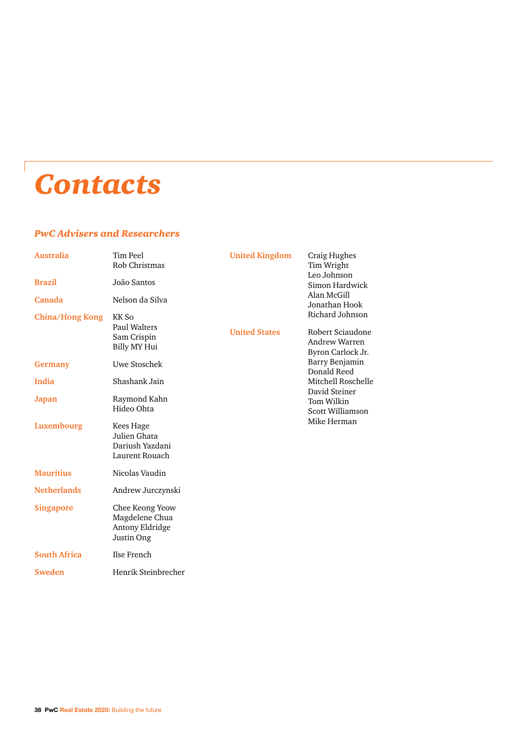## *Contacts*

ſ

## *PwC Advisers and Researchers*

| Australia<br><b>Brazil</b><br>Canada<br><b>China/Hong Kong</b> | Tim Peel<br>Rob Christmas<br>João Santos<br>Nelson da Silva<br>KK So | <b>United Kingdom</b> | Craig Hughes<br>Tim Wright<br>Leo Johnson<br>Simon Hardwick<br>Alan McGill<br>Jonathan Hook<br>Richard Johnson |  |
|----------------------------------------------------------------|----------------------------------------------------------------------|-----------------------|----------------------------------------------------------------------------------------------------------------|--|
|                                                                | Paul Walters<br>Sam Crispin<br><b>Billy MY Hui</b>                   | <b>United States</b>  | Robert Sciaudone<br>Andrew Warren<br>Byron Carlock Jr.<br>Barry Benjamin<br>Donald Reed                        |  |
| <b>Germany</b>                                                 | Uwe Stoschek                                                         |                       |                                                                                                                |  |
| India                                                          | Shashank Jain                                                        |                       | Mitchell Roschelle                                                                                             |  |
| Japan                                                          | Raymond Kahn<br>Hideo Ohta                                           |                       | David Steiner<br>Tom Wilkin<br>Scott Williamson                                                                |  |
| Luxembourg                                                     | Kees Hage<br>Julien Ghata<br>Dariush Yazdani<br>Laurent Rouach       |                       | Mike Herman                                                                                                    |  |
| <b>Mauritius</b>                                               | Nicolas Vaudin                                                       |                       |                                                                                                                |  |
| <b>Netherlands</b>                                             | Andrew Jurczynski                                                    |                       |                                                                                                                |  |
| <b>Singapore</b>                                               | Chee Keong Yeow<br>Magdelene Chua<br>Antony Eldridge<br>Justin Ong   |                       |                                                                                                                |  |
| <b>South Africa</b>                                            | Ilse French                                                          |                       |                                                                                                                |  |
| <b>Sweden</b>                                                  | Henrik Steinbrecher                                                  |                       |                                                                                                                |  |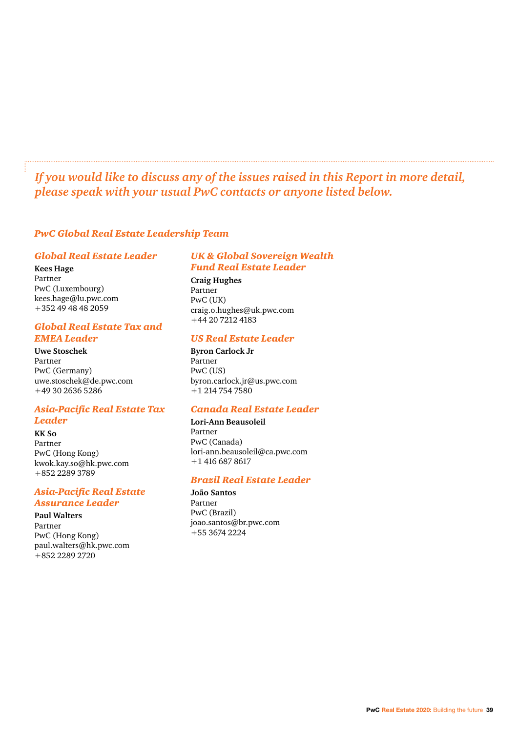## *If you would like to discuss any of the issues raised in this Report in more detail, please speak with your usual PwC contacts or anyone listed below.*

## *PwC Global Real Estate Leadership Team*

### *Global Real Estate Leader*

**Kees Hage** Partner PwC (Luxembourg) kees.hage@lu.pwc.com +352 49 48 48 2059

## *Global Real Estate Tax and EMEA Leader*

**Uwe Stoschek** Partner PwC (Germany) uwe.stoschek@de.pwc.com +49 30 2636 5286

## *Asia-Pacific Real Estate Tax Leader*

**KK So**

Partner PwC (Hong Kong) kwok.kay.so@hk.pwc.com +852 2289 3789

## *Asia-Pacific Real Estate Assurance Leader*

**Paul Walters** Partner PwC (Hong Kong) paul.walters@hk.pwc.com +852 2289 2720

## *UK & Global Sovereign Wealth Fund Real Estate Leader*

### **Craig Hughes**

Partner PwC (UK) craig.o.hughes@uk.pwc.com +44 20 7212 4183

## *US Real Estate Leader*

**Byron Carlock Jr** Partner PwC (US) byron.carlock.jr@us.pwc.com +1 214 754 7580

## *Canada Real Estate Leader*

### **Lori-Ann Beausoleil**

Partner PwC (Canada) lori-ann.beausoleil@ca.pwc.com +1 416 687 8617

## *Brazil Real Estate Leader*

**João Santos** Partner PwC (Brazil) joao.santos@br.pwc.com +55 3674 2224